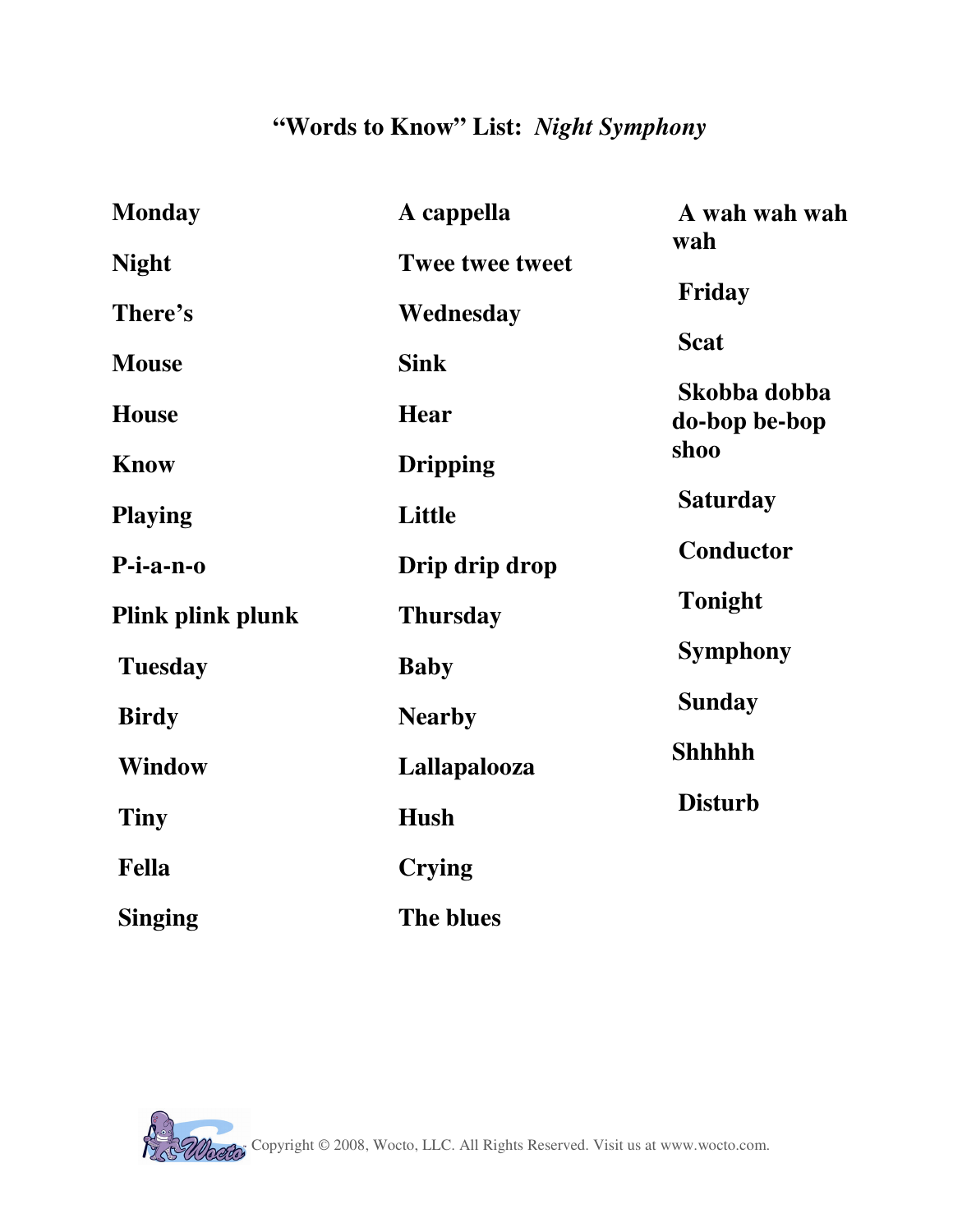## **"Words to Know" List:** *Night Symphony*

| <b>Monday</b>     | A cappella             | A wah wah wah<br>wah          |
|-------------------|------------------------|-------------------------------|
| <b>Night</b>      | <b>Twee twee tweet</b> |                               |
| There's           | Wednesday              | Friday                        |
| <b>Mouse</b>      | <b>Sink</b>            | <b>Scat</b>                   |
| <b>House</b>      | <b>Hear</b>            | Skobba dobba<br>do-bop be-bop |
| <b>Know</b>       | <b>Dripping</b>        | shoo                          |
| <b>Playing</b>    | Little                 | <b>Saturday</b>               |
| $P$ -i-a-n-o      | Drip drip drop         | Conductor                     |
| Plink plink plunk | <b>Thursday</b>        | <b>Tonight</b>                |
| <b>Tuesday</b>    | <b>Baby</b>            | <b>Symphony</b>               |
| <b>Birdy</b>      | <b>Nearby</b>          | <b>Sunday</b>                 |
| <b>Window</b>     | Lallapalooza           | <b>Shhhhh</b>                 |
| Tiny              | <b>Hush</b>            | <b>Disturb</b>                |
| <b>Fella</b>      | <b>Crying</b>          |                               |
| <b>Singing</b>    | The blues              |                               |